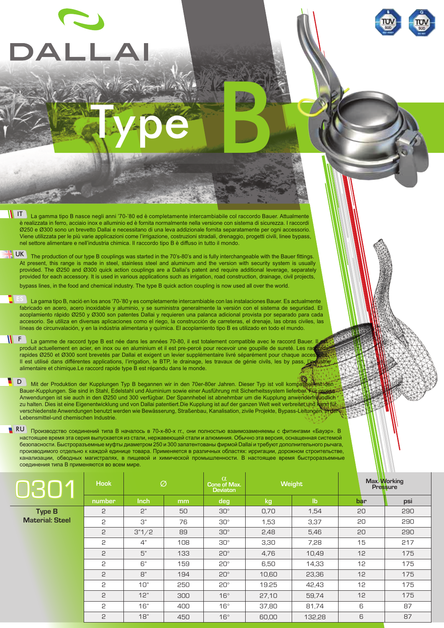## Type B

IT La gamma tipo B nasce negli anni '70-'80 ed è completamente intercambiabile col raccordo Bauer. Attualmente è realizzata in ferro, acciaio inox e alluminio ed è fornita normalmente nella versione con sistema di sicurezza. I raccordi Ø250 e Ø300 sono un brevetto Dallai e necessitano di una leva addizionale fornita separatamente per ogni accessorio. Viene utilizzata per le più varie applicazioni come l'irrigazione, costruzioni stradali, drenaggio, progetti civili, linee bypass, nel settore alimentare e nell'industria chimica. Il raccordo tipo B è diffuso in tutto il mondo.

The production of our type B couplings was started in the 70's-80's and is fully interchangeable with the Bauer fittings. At present, this range is made in steel, stainless steel and aluminum and the version with security system is usually provided. The Ø250 and Ø300 quick action couplings are a Dallai's patent and require additional leverage, separately provided for each accessory. It is used in various applications such as irrigation, road construction, drainage, civil projects, bypass lines, in the food and chemical industry. The type B quick action coupling is now used all over the world. **UK** 

 $\overline{\text{ES}}$  La gama tipo B, nació en los anos '70-'80 y es completamente intercambiable con las instalaciones Bauer. Es actualmente fabricado en acero, acero inoxidable y aluminio, y se suministra generalmente la versión con el sistema de seguridad. El acoplamiento rápido Ø250 y Ø300 son patentes Dallai y requieren una palanca adicional provista por separado para cada accesorio. Se utiliza en diversas aplicaciones como el riego, la construcción de carreteras, el drenaje, las obras civiles, las líneas de circunvalación, y en la indústria alimentaria y química. El acoplamiento tipo B es utilizado en todo el mundo.

E La gamme de raccord type B est née dans les années 70-80, il est totalement compatible avec le raccord Bauer. Il est produit actuellement en acier, en inox ou en aluminium et il est pre-percé pour recevoir une goupille de sureté. Les raq rapides Ø250 et Ø300 sont brevetés par Dallai et exigent un levier supplémentaire livré séparément pour chaque acce Il est utilisé dans différentes applications, l'irrigation, le BTP, le drainage, les travaux de génie civils, les by pass, alimentaire et chimique.Le raccord rapide type B est répandu dans le monde.

Mit der Produktion der Kupplungen Typ B begannen wir in den 70er-80er Jahren. Dieser Typ ist voll kompatibel Bauer-Kupplungen. Sie sind in Stahl, Edelstahl und Aluminium sowie einer Ausführung mit Sicherheitssystem lieferbar. Für grosse Anwendungen ist sie auch in den Ø250 und 300 verfügbar. Der Spannhebel ist abnehmbar um die Kupplung anwenderfreundlich zu halten. Dies ist eine Eigenentwicklung und von Dallai patentiert.Die Kupplung ist auf der ganzen Welt weit verbreitet und kann für verschiedenste Anwendungen benutzt werden wie Bewässerung, Straßenbau, Kanalisation, zivile Projekte, Bypass-Leitungen, in der Lebensmittel-und chemischen Industrie. D

Производство соединений типа B началось в 70-х-80-х гг., они полностью взаимозаменяемы с фитингами «Бауэр». В настоящее время эта серия выпускается из стали, нержавеющей стали и алюминия. Обычно эта версия, оснащенная системой безопасности. Быстроразъемные муфты диаметром 250 и 300 запатентованы фирмой Dallai и требуют дополнительного рычага, производимого отдельно к каждой единице товара. Применяется в различных областях: ирригации, дорожном строительстве канализации, обводных магистралях, в пищевой и химической промышленности. В настоящее время быстроразъемные соединения типа B применяются во всем мире. RU

| <b>10807</b>           | <b>Hook</b> | Ø     |     | $\alpha$<br><b>Cone of Max.</b><br><b>Deviaton</b> | Weight |              | Max. Working<br><b>Pressure</b> |     |
|------------------------|-------------|-------|-----|----------------------------------------------------|--------|--------------|---------------------------------|-----|
|                        | number      | Inch  | mm  | deg                                                | kg     | $\mathbf{I}$ | bar                             | psi |
| <b>Type B</b>          | 2           | 2"    | 50  | $30^\circ$                                         | 0,70   | 1,54         | 20                              | 290 |
| <b>Material: Steel</b> | 5           | 3"    | 76  | $30^\circ$                                         | 1,53   | 3,37         | 20                              | 290 |
|                        | 2           | 3"1/2 | 89  | $30^\circ$                                         | 2,48   | 5,46         | 20                              | 290 |
|                        | 2           | 4"    | 108 | $30^\circ$                                         | 3,30   | 7.28         | 15                              | 217 |
|                        | 2           | 5"    | 133 | $20^\circ$                                         | 4,76   | 10,49        | 12                              | 175 |
|                        | 2           | 6"    | 159 | $20^\circ$                                         | 6,50   | 14,33        | 12                              | 175 |
|                        | 2           | B"    | 194 | $20^\circ$                                         | 10,60  | 23,36        | 12                              | 175 |
|                        | 2           | 10"   | 250 | $20^{\circ}$                                       | 19.25  | 42,43        | 12                              | 175 |
|                        | 2           | 12"   | 300 | $16^{\circ}$                                       | 27,10  | 59,74        | 12                              | 175 |
|                        | 2           | 16"   | 400 | $16^\circ$                                         | 37,80  | 81,74        | 6                               | 87  |
|                        | 2           | 18"   | 450 | $16^\circ$                                         | 60,00  | 132,28       | 6                               | 87  |